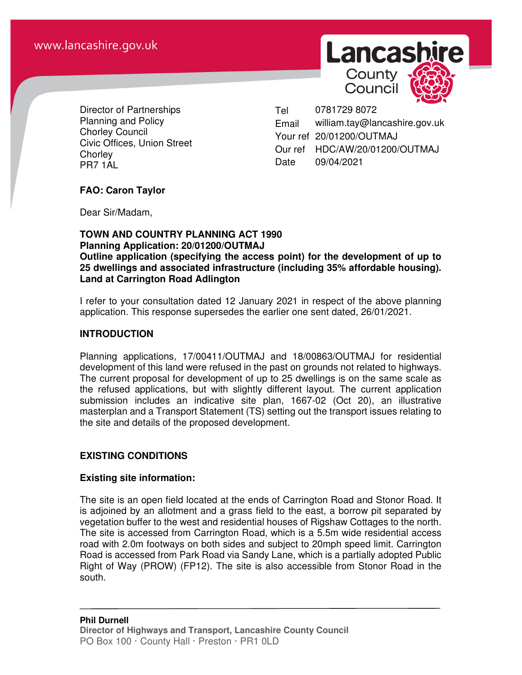

Council



Director of Partnerships Planning and Policy Chorley Council Civic Offices, Union Street **Chorley** PR7 1AL

Tel 0781729 8072 Email william.tay@lancashire.gov.uk Your ref 20/01200/OUTMAJ Our ref HDC/AW/20/01200/OUTMAJ Date 09/04/2021

### **FAO: Caron Taylor**

Dear Sir/Madam,

#### **TOWN AND COUNTRY PLANNING ACT 1990 Planning Application: 20/01200/OUTMAJ Outline application (specifying the access point) for the development of up to 25 dwellings and associated infrastructure (including 35% affordable housing). Land at Carrington Road Adlington**

I refer to your consultation dated 12 January 2021 in respect of the above planning application. This response supersedes the earlier one sent dated, 26/01/2021.

### **INTRODUCTION**

Planning applications, 17/00411/OUTMAJ and 18/00863/OUTMAJ for residential development of this land were refused in the past on grounds not related to highways. The current proposal for development of up to 25 dwellings is on the same scale as the refused applications, but with slightly different layout. The current application submission includes an indicative site plan, 1667-02 (Oct 20), an illustrative masterplan and a Transport Statement (TS) setting out the transport issues relating to the site and details of the proposed development.

### **EXISTING CONDITIONS**

### **Existing site information:**

The site is an open field located at the ends of Carrington Road and Stonor Road. It is adjoined by an allotment and a grass field to the east, a borrow pit separated by vegetation buffer to the west and residential houses of Rigshaw Cottages to the north. The site is accessed from Carrington Road, which is a 5.5m wide residential access road with 2.0m footways on both sides and subject to 20mph speed limit. Carrington Road is accessed from Park Road via Sandy Lane, which is a partially adopted Public Right of Way (PROW) (FP12). The site is also accessible from Stonor Road in the south.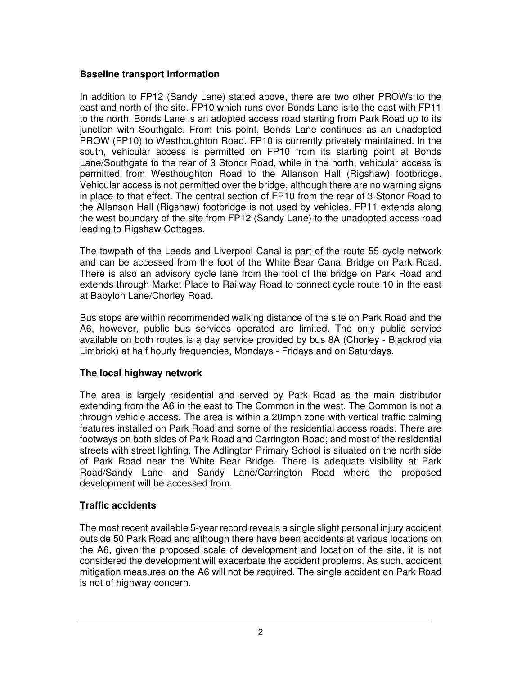### **Baseline transport information**

In addition to FP12 (Sandy Lane) stated above, there are two other PROWs to the east and north of the site. FP10 which runs over Bonds Lane is to the east with FP11 to the north. Bonds Lane is an adopted access road starting from Park Road up to its junction with Southgate. From this point, Bonds Lane continues as an unadopted PROW (FP10) to Westhoughton Road. FP10 is currently privately maintained. In the south, vehicular access is permitted on FP10 from its starting point at Bonds Lane/Southgate to the rear of 3 Stonor Road, while in the north, vehicular access is permitted from Westhoughton Road to the Allanson Hall (Rigshaw) footbridge. Vehicular access is not permitted over the bridge, although there are no warning signs in place to that effect. The central section of FP10 from the rear of 3 Stonor Road to the Allanson Hall (Rigshaw) footbridge is not used by vehicles. FP11 extends along the west boundary of the site from FP12 (Sandy Lane) to the unadopted access road leading to Rigshaw Cottages.

The towpath of the Leeds and Liverpool Canal is part of the route 55 cycle network and can be accessed from the foot of the White Bear Canal Bridge on Park Road. There is also an advisory cycle lane from the foot of the bridge on Park Road and extends through Market Place to Railway Road to connect cycle route 10 in the east at Babylon Lane/Chorley Road.

Bus stops are within recommended walking distance of the site on Park Road and the A6, however, public bus services operated are limited. The only public service available on both routes is a day service provided by bus 8A (Chorley - Blackrod via Limbrick) at half hourly frequencies, Mondays - Fridays and on Saturdays.

# **The local highway network**

The area is largely residential and served by Park Road as the main distributor extending from the A6 in the east to The Common in the west. The Common is not a through vehicle access. The area is within a 20mph zone with vertical traffic calming features installed on Park Road and some of the residential access roads. There are footways on both sides of Park Road and Carrington Road; and most of the residential streets with street lighting. The Adlington Primary School is situated on the north side of Park Road near the White Bear Bridge. There is adequate visibility at Park Road/Sandy Lane and Sandy Lane/Carrington Road where the proposed development will be accessed from.

# **Traffic accidents**

The most recent available 5-year record reveals a single slight personal injury accident outside 50 Park Road and although there have been accidents at various locations on the A6, given the proposed scale of development and location of the site, it is not considered the development will exacerbate the accident problems. As such, accident mitigation measures on the A6 will not be required. The single accident on Park Road is not of highway concern.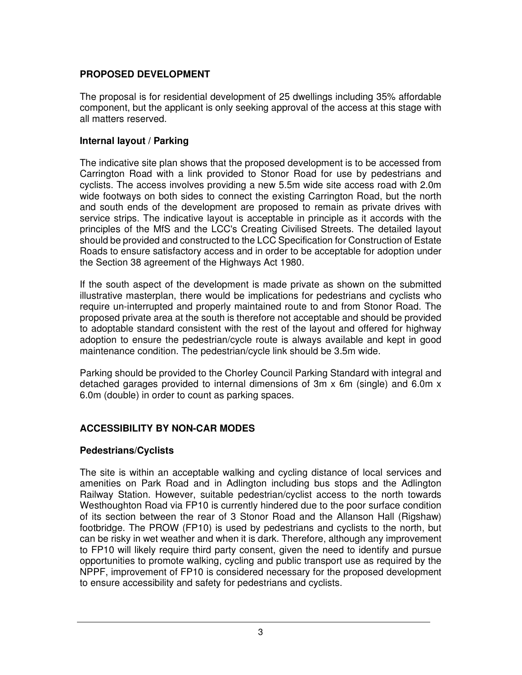# **PROPOSED DEVELOPMENT**

The proposal is for residential development of 25 dwellings including 35% affordable component, but the applicant is only seeking approval of the access at this stage with all matters reserved.

#### **Internal layout / Parking**

The indicative site plan shows that the proposed development is to be accessed from Carrington Road with a link provided to Stonor Road for use by pedestrians and cyclists. The access involves providing a new 5.5m wide site access road with 2.0m wide footways on both sides to connect the existing Carrington Road, but the north and south ends of the development are proposed to remain as private drives with service strips. The indicative layout is acceptable in principle as it accords with the principles of the MfS and the LCC's Creating Civilised Streets. The detailed layout should be provided and constructed to the LCC Specification for Construction of Estate Roads to ensure satisfactory access and in order to be acceptable for adoption under the Section 38 agreement of the Highways Act 1980.

If the south aspect of the development is made private as shown on the submitted illustrative masterplan, there would be implications for pedestrians and cyclists who require un-interrupted and properly maintained route to and from Stonor Road. The proposed private area at the south is therefore not acceptable and should be provided to adoptable standard consistent with the rest of the layout and offered for highway adoption to ensure the pedestrian/cycle route is always available and kept in good maintenance condition. The pedestrian/cycle link should be 3.5m wide.

Parking should be provided to the Chorley Council Parking Standard with integral and detached garages provided to internal dimensions of 3m x 6m (single) and 6.0m x 6.0m (double) in order to count as parking spaces.

### **ACCESSIBILITY BY NON-CAR MODES**

### **Pedestrians/Cyclists**

The site is within an acceptable walking and cycling distance of local services and amenities on Park Road and in Adlington including bus stops and the Adlington Railway Station. However, suitable pedestrian/cyclist access to the north towards Westhoughton Road via FP10 is currently hindered due to the poor surface condition of its section between the rear of 3 Stonor Road and the Allanson Hall (Rigshaw) footbridge. The PROW (FP10) is used by pedestrians and cyclists to the north, but can be risky in wet weather and when it is dark. Therefore, although any improvement to FP10 will likely require third party consent, given the need to identify and pursue opportunities to promote walking, cycling and public transport use as required by the NPPF, improvement of FP10 is considered necessary for the proposed development to ensure accessibility and safety for pedestrians and cyclists.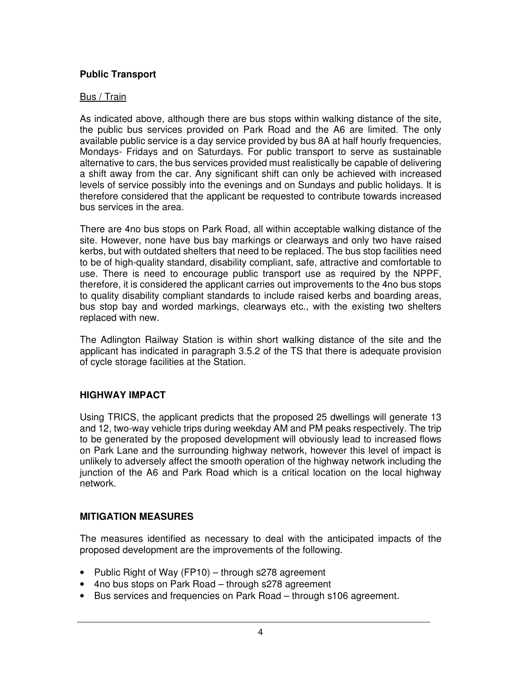# **Public Transport**

#### Bus / Train

As indicated above, although there are bus stops within walking distance of the site, the public bus services provided on Park Road and the A6 are limited. The only available public service is a day service provided by bus 8A at half hourly frequencies, Mondays- Fridays and on Saturdays. For public transport to serve as sustainable alternative to cars, the bus services provided must realistically be capable of delivering a shift away from the car. Any significant shift can only be achieved with increased levels of service possibly into the evenings and on Sundays and public holidays. It is therefore considered that the applicant be requested to contribute towards increased bus services in the area.

There are 4no bus stops on Park Road, all within acceptable walking distance of the site. However, none have bus bay markings or clearways and only two have raised kerbs, but with outdated shelters that need to be replaced. The bus stop facilities need to be of high-quality standard, disability compliant, safe, attractive and comfortable to use. There is need to encourage public transport use as required by the NPPF, therefore, it is considered the applicant carries out improvements to the 4no bus stops to quality disability compliant standards to include raised kerbs and boarding areas, bus stop bay and worded markings, clearways etc., with the existing two shelters replaced with new.

The Adlington Railway Station is within short walking distance of the site and the applicant has indicated in paragraph 3.5.2 of the TS that there is adequate provision of cycle storage facilities at the Station.

### **HIGHWAY IMPACT**

Using TRICS, the applicant predicts that the proposed 25 dwellings will generate 13 and 12, two-way vehicle trips during weekday AM and PM peaks respectively. The trip to be generated by the proposed development will obviously lead to increased flows on Park Lane and the surrounding highway network, however this level of impact is unlikely to adversely affect the smooth operation of the highway network including the junction of the A6 and Park Road which is a critical location on the local highway network.

### **MITIGATION MEASURES**

The measures identified as necessary to deal with the anticipated impacts of the proposed development are the improvements of the following.

- Public Right of Way (FP10) through s278 agreement
- 4no bus stops on Park Road through s278 agreement
- Bus services and frequencies on Park Road through s106 agreement.